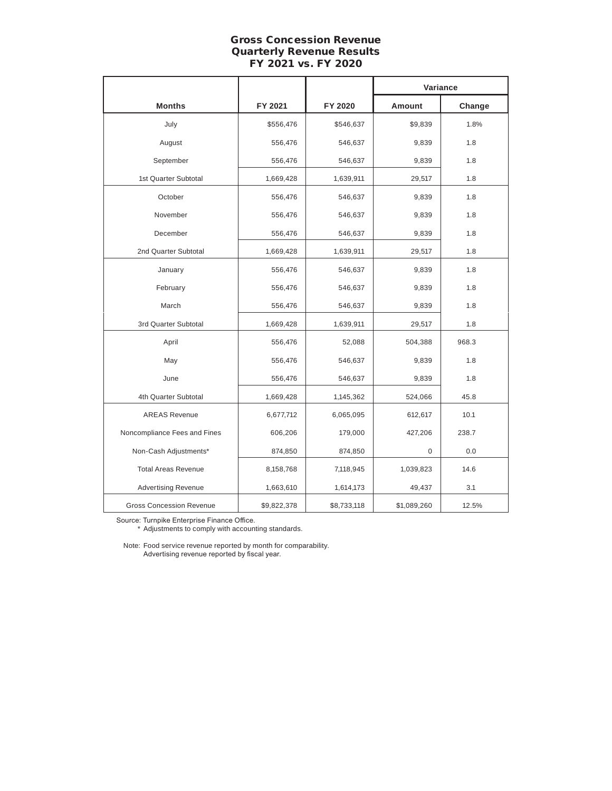# Gross Concession Revenue Quarterly Revenue Results FY 2021 vs. FY 2020

|                                 |             |             | Variance    |        |
|---------------------------------|-------------|-------------|-------------|--------|
| <b>Months</b>                   | FY 2021     | FY 2020     | Amount      | Change |
| July                            | \$556,476   | \$546,637   | \$9,839     | 1.8%   |
| August                          | 556,476     | 546,637     | 9,839       | 1.8    |
| September                       | 556,476     | 546,637     | 9,839       | 1.8    |
| 1st Quarter Subtotal            | 1,669,428   | 1,639,911   | 29,517      | 1.8    |
| October                         | 556,476     | 546,637     | 9,839       | 1.8    |
| November                        | 556,476     | 546,637     | 9,839       | 1.8    |
| December                        | 556,476     | 546,637     | 9,839       | 1.8    |
| 2nd Quarter Subtotal            | 1,669,428   | 1,639,911   | 29,517      | 1.8    |
| January                         | 556,476     | 546,637     | 9,839       | 1.8    |
| February                        | 556,476     | 546,637     | 9,839       | 1.8    |
| March                           | 556,476     | 546,637     | 9,839       | 1.8    |
| 3rd Quarter Subtotal            | 1,669,428   | 1,639,911   | 29,517      | 1.8    |
| April                           | 556,476     | 52,088      | 504,388     | 968.3  |
| May                             | 556,476     | 546,637     | 9,839       | 1.8    |
| June                            | 556,476     | 546,637     | 9,839       | 1.8    |
| 4th Quarter Subtotal            | 1,669,428   | 1,145,362   | 524,066     | 45.8   |
| <b>AREAS Revenue</b>            | 6,677,712   | 6,065,095   | 612,617     | 10.1   |
| Noncompliance Fees and Fines    | 606,206     | 179,000     | 427,206     | 238.7  |
| Non-Cash Adjustments*           | 874,850     | 874,850     | $\mathbf 0$ | 0.0    |
| <b>Total Areas Revenue</b>      | 8,158,768   | 7,118,945   | 1,039,823   | 14.6   |
| <b>Advertising Revenue</b>      | 1,663,610   | 1,614,173   | 49,437      | 3.1    |
| <b>Gross Concession Revenue</b> | \$9,822,378 | \$8,733,118 | \$1,089,260 | 12.5%  |

Source: Turnpike Enterprise Finance Office.

\* Adjustments to comply with accounting standards.

Note: Food service revenue reported by month for comparability. Advertising revenue reported by fiscal year.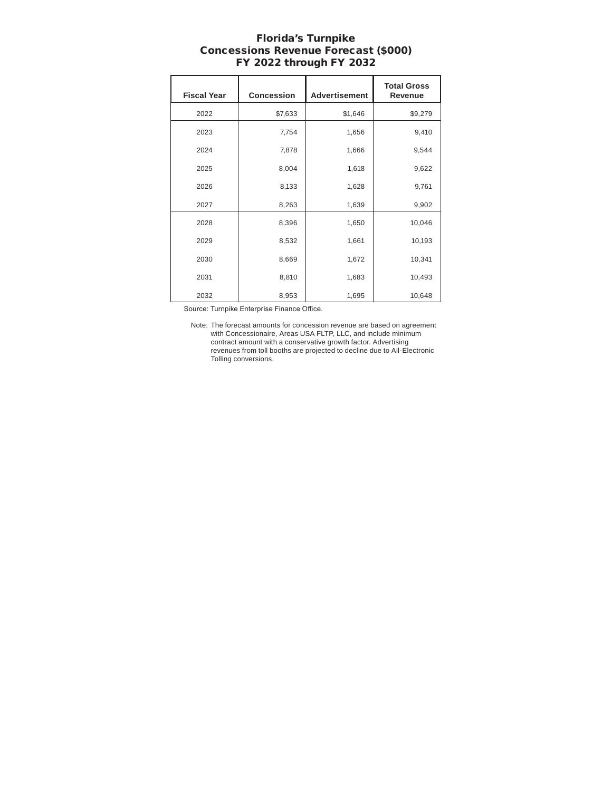## Florida's Turnpike Concessions Revenue Forecast (\$000) FY 2022 through FY 2032

| <b>Fiscal Year</b> | <b>Concession</b> | Advertisement | <b>Total Gross</b><br>Revenue |
|--------------------|-------------------|---------------|-------------------------------|
| 2022               | \$7,633           | \$1,646       | \$9,279                       |
| 2023               | 7,754             | 1,656         | 9,410                         |
| 2024               | 7,878             | 1,666         | 9,544                         |
| 2025               | 8,004             | 1,618         | 9,622                         |
| 2026               | 8,133             | 1,628         | 9,761                         |
| 2027               | 8,263             | 1,639         | 9,902                         |
| 2028               | 8,396             | 1,650         | 10,046                        |
| 2029               | 8,532             | 1,661         | 10,193                        |
| 2030               | 8,669             | 1,672         | 10,341                        |
| 2031               | 8,810             | 1,683         | 10,493                        |
| 2032               | 8,953             | 1,695         | 10,648                        |

Source: Turnpike Enterprise Finance Office.

Note: The forecast amounts for concession revenue are based on agreement with Concessionaire, Areas USA FLTP, LLC, and include minimum contract amount with a conservative growth factor. Advertising revenues from toll booths are projected to decline due to All-Electronic Tolling conversions.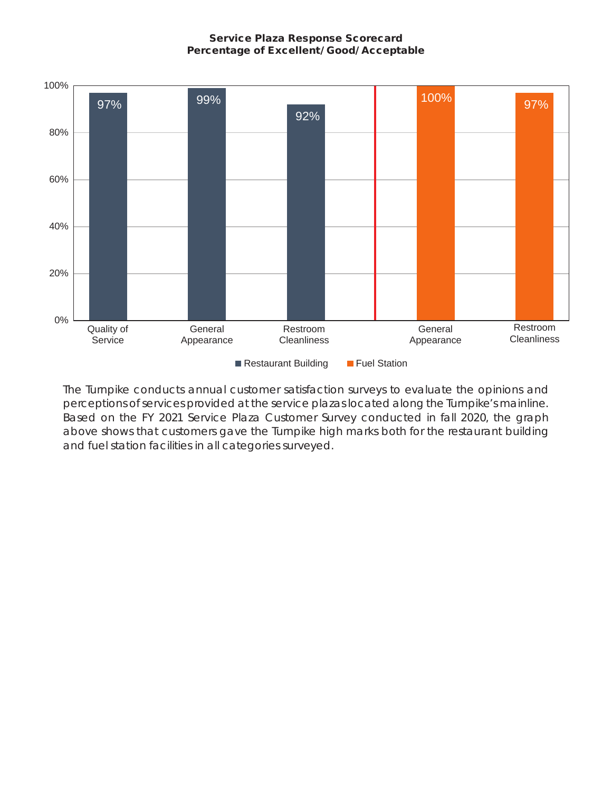## Service Plaza Response Scorecard Percentage of Excellent/ Good/ Acceptable



The Turnpike conducts annual customer satisfaction surveys to evaluate the opinions and perceptions of services provided at the service plazas located along the Turnpike's mainline. Based on the FY 2021 Service Plaza Customer Survey conducted in fall 2020, the graph above shows that customers gave the Turnpike high marks both for the restaurant building and fuel station facilities in all categories surveyed.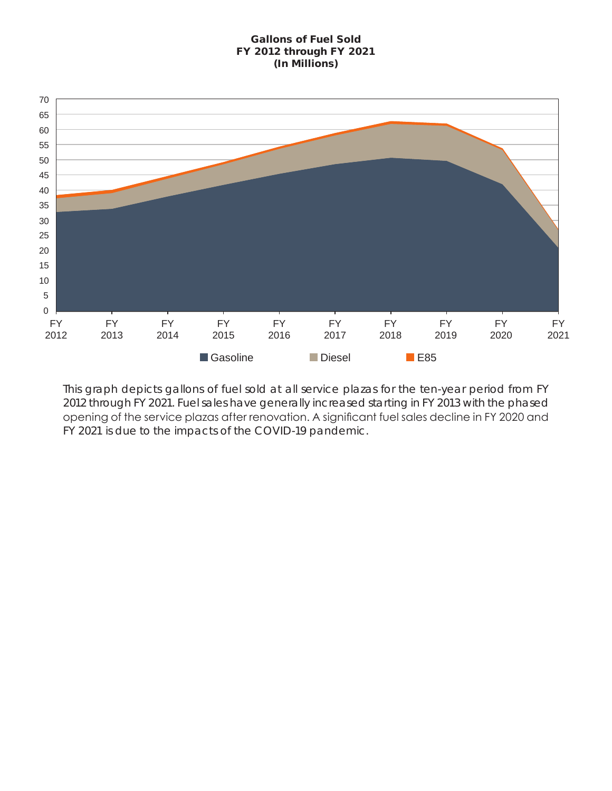# Gallons of Fuel Sold FY 2012 through FY 2021 (In Millions)



This graph depicts gallons of fuel sold at all service plazas for the ten-year period from FY 2012 through FY 2021. Fuel sales have generally increased starting in FY 2013 with the phased opening of the service plazas after renovation. A significant fuel sales decline in FY 2020 and FY 2021 is due to the impacts of the COVID-19 pandemic.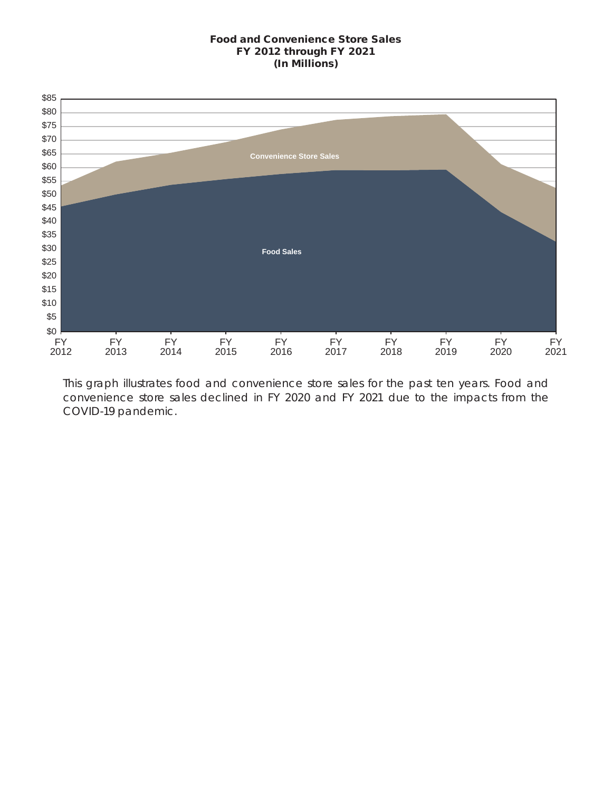### Food and Convenience Store Sales FY 2012 through FY 2021 (In Millions)



This graph illustrates food and convenience store sales for the past ten years. Food and convenience store sales declined in FY 2020 and FY 2021 due to the impacts from the COVID-19 pandemic.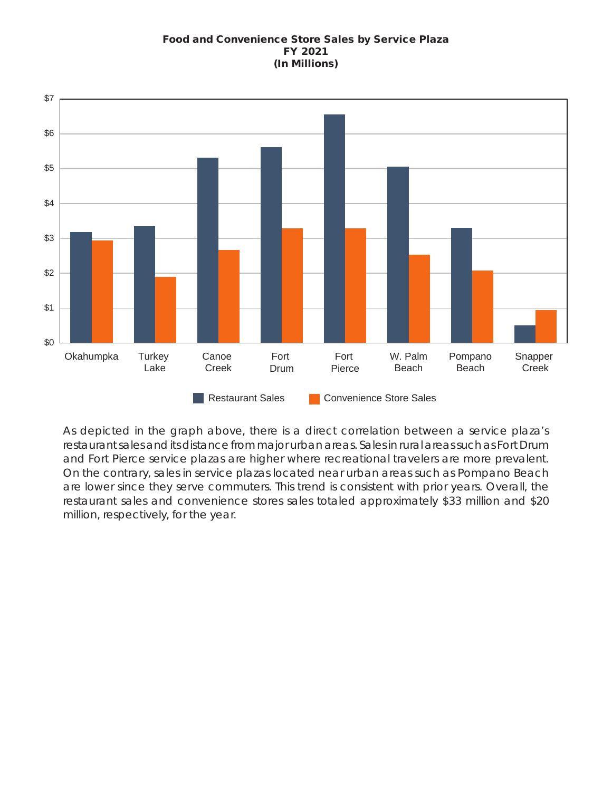# Food and Convenience Store Sales by Service Plaza FY 2021 (In Millions)



As depicted in the graph above, there is a direct correlation between a service plaza's restaurant sales and its distance from major urban areas. Sales in rural areas such as Fort Drum and Fort Pierce service plazas are higher where recreational travelers are more prevalent. On the contrary, sales in service plazas located near urban areas such as Pompano Beach are lower since they serve commuters. This trend is consistent with prior years. Overall, the restaurant sales and convenience stores sales totaled approximately \$33 million and \$20 million, respectively, for the year.